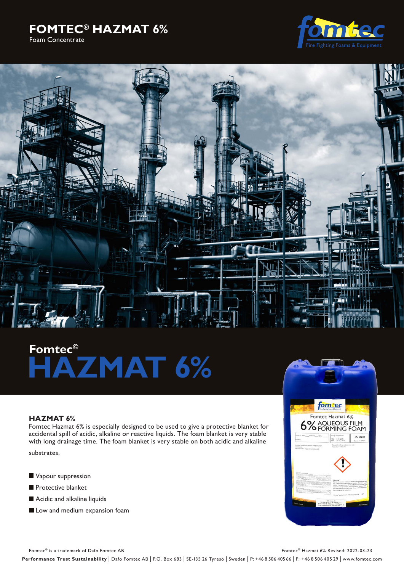## **FOMTEC® HAZMAT 6%**  Foam Concentrate





# **Fomtec© HAZMAT 6%**

### **HAZMAT 6%**

Fomtec Hazmat 6% is especially designed to be used to give a protective blanket for accidental spill of acidic, alkaline or reactive liquids. The foam blanket is very stable with long drainage time. The foam blanket is very stable on both acidic and alkaline

substrates.

- **Vapour suppression**
- **Protective blanket**
- **Acidic and alkaline liquids**
- Low and medium expansion foam



Fomtec® is a trademark of Dafo Fomtec AB Fomtec AB Fomtec® Hazmat 6% Revised: 2022-03-23

Performance Trust Sustainability | Dafo Fomtec AB | P.O. Box 683 | SE-135 26 Tyresö | Sweden | P: +46 8 506 405 66 | F: +46 8 506 405 29 | www.fomtec.com